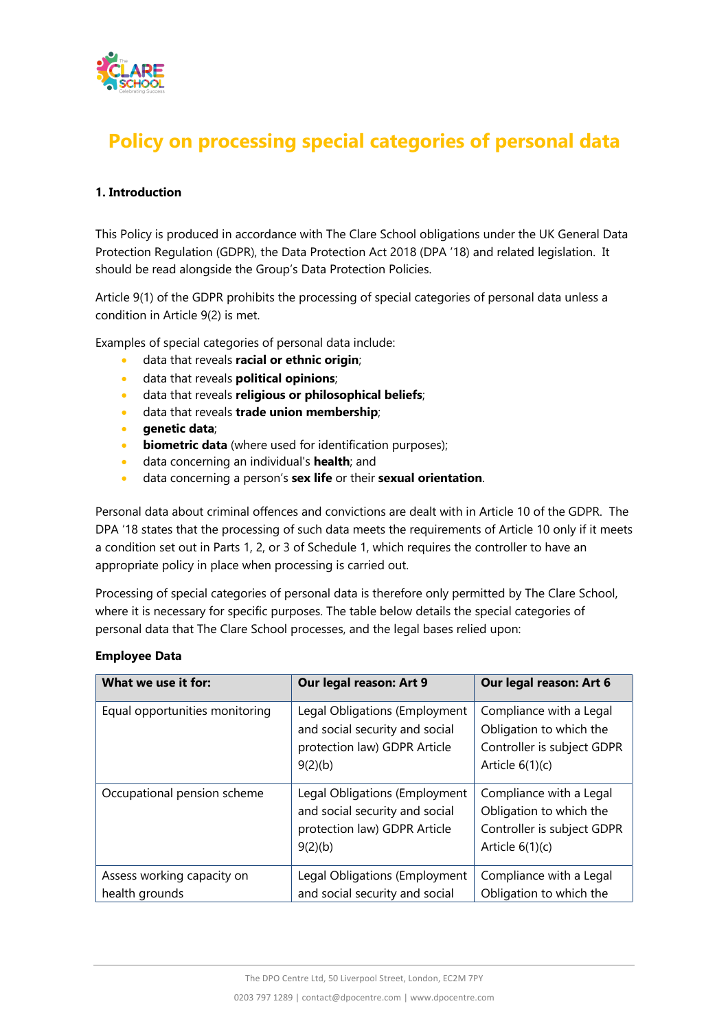

# **Policy on processing special categories of personal data**

## **1. Introduction**

This Policy is produced in accordance with The Clare School obligations under the UK General Data Protection Regulation (GDPR), the Data Protection Act 2018 (DPA '18) and related legislation. It should be read alongside the Group's Data Protection Policies.

Article 9(1) of the GDPR prohibits the processing of special categories of personal data unless a condition in Article 9(2) is met.

Examples of special categories of personal data include:

- data that reveals **racial or ethnic origin**;
- data that reveals **political opinions**;
- data that reveals **religious or philosophical beliefs**;
- data that reveals **trade union membership**;
- **genetic data**;
- **biometric data** (where used for identification purposes);
- data concerning an individual's **health**; and
- data concerning a person's **sex life** or their **sexual orientation**.

Personal data about criminal offences and convictions are dealt with in Article 10 of the GDPR. The DPA '18 states that the processing of such data meets the requirements of Article 10 only if it meets a condition set out in Parts 1, 2, or 3 of Schedule 1, which requires the controller to have an appropriate policy in place when processing is carried out.

Processing of special categories of personal data is therefore only permitted by The Clare School, where it is necessary for specific purposes. The table below details the special categories of personal data that The Clare School processes, and the legal bases relied upon:

#### **Employee Data**

| What we use it for:                          | Our legal reason: Art 9                                                                                    | Our legal reason: Art 6                                                                               |
|----------------------------------------------|------------------------------------------------------------------------------------------------------------|-------------------------------------------------------------------------------------------------------|
| Equal opportunities monitoring               | Legal Obligations (Employment<br>and social security and social<br>protection law) GDPR Article<br>9(2)(b) | Compliance with a Legal<br>Obligation to which the<br>Controller is subject GDPR<br>Article $6(1)(c)$ |
| Occupational pension scheme                  | Legal Obligations (Employment<br>and social security and social<br>protection law) GDPR Article<br>9(2)(b) | Compliance with a Legal<br>Obligation to which the<br>Controller is subject GDPR<br>Article $6(1)(c)$ |
| Assess working capacity on<br>health grounds | Legal Obligations (Employment<br>and social security and social                                            | Compliance with a Legal<br>Obligation to which the                                                    |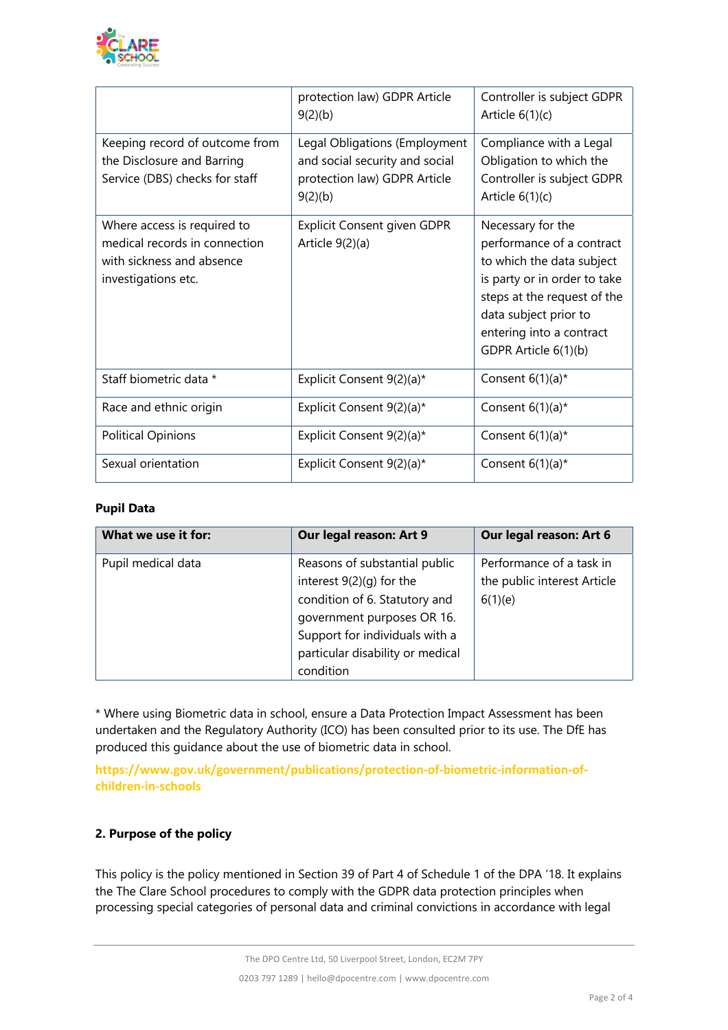

|                                                                                                                  | protection law) GDPR Article<br>9(2)(b)                                                                    | Controller is subject GDPR<br>Article $6(1)(c)$                                                                                                                                                                         |
|------------------------------------------------------------------------------------------------------------------|------------------------------------------------------------------------------------------------------------|-------------------------------------------------------------------------------------------------------------------------------------------------------------------------------------------------------------------------|
| Keeping record of outcome from<br>the Disclosure and Barring<br>Service (DBS) checks for staff                   | Legal Obligations (Employment<br>and social security and social<br>protection law) GDPR Article<br>9(2)(b) | Compliance with a Legal<br>Obligation to which the<br>Controller is subject GDPR<br>Article $6(1)(c)$                                                                                                                   |
| Where access is required to<br>medical records in connection<br>with sickness and absence<br>investigations etc. | <b>Explicit Consent given GDPR</b><br>Article $9(2)(a)$                                                    | Necessary for the<br>performance of a contract<br>to which the data subject<br>is party or in order to take<br>steps at the request of the<br>data subject prior to<br>entering into a contract<br>GDPR Article 6(1)(b) |
| Staff biometric data *                                                                                           | Explicit Consent 9(2)(a)*                                                                                  | Consent $6(1)(a)^*$                                                                                                                                                                                                     |
| Race and ethnic origin                                                                                           | Explicit Consent 9(2)(a)*                                                                                  | Consent $6(1)(a)^*$                                                                                                                                                                                                     |
| <b>Political Opinions</b>                                                                                        | Explicit Consent 9(2)(a)*                                                                                  | Consent $6(1)(a)^*$                                                                                                                                                                                                     |
| Sexual orientation                                                                                               | Explicit Consent 9(2)(a)*                                                                                  | Consent $6(1)(a)^*$                                                                                                                                                                                                     |

#### **Pupil Data**

| What we use it for: | Our legal reason: Art 9                                                                                                                                                                                     | Our legal reason: Art 6                                            |
|---------------------|-------------------------------------------------------------------------------------------------------------------------------------------------------------------------------------------------------------|--------------------------------------------------------------------|
| Pupil medical data  | Reasons of substantial public<br>interest 9(2)(g) for the<br>condition of 6. Statutory and<br>government purposes OR 16.<br>Support for individuals with a<br>particular disability or medical<br>condition | Performance of a task in<br>the public interest Article<br>6(1)(e) |

\* Where using Biometric data in school, ensure a Data Protection Impact Assessment has been undertaken and the Regulatory Authority (ICO) has been consulted prior to its use. The DfE has produced this guidance about the use of biometric data in school.

**https://www.gov.uk/government/publications/protection-of-biometric-information-ofchildren-in-schools**

## **2. Purpose of the policy**

This policy is the policy mentioned in Section 39 of Part 4 of Schedule 1 of the DPA '18. It explains the The Clare School procedures to comply with the GDPR data protection principles when processing special categories of personal data and criminal convictions in accordance with legal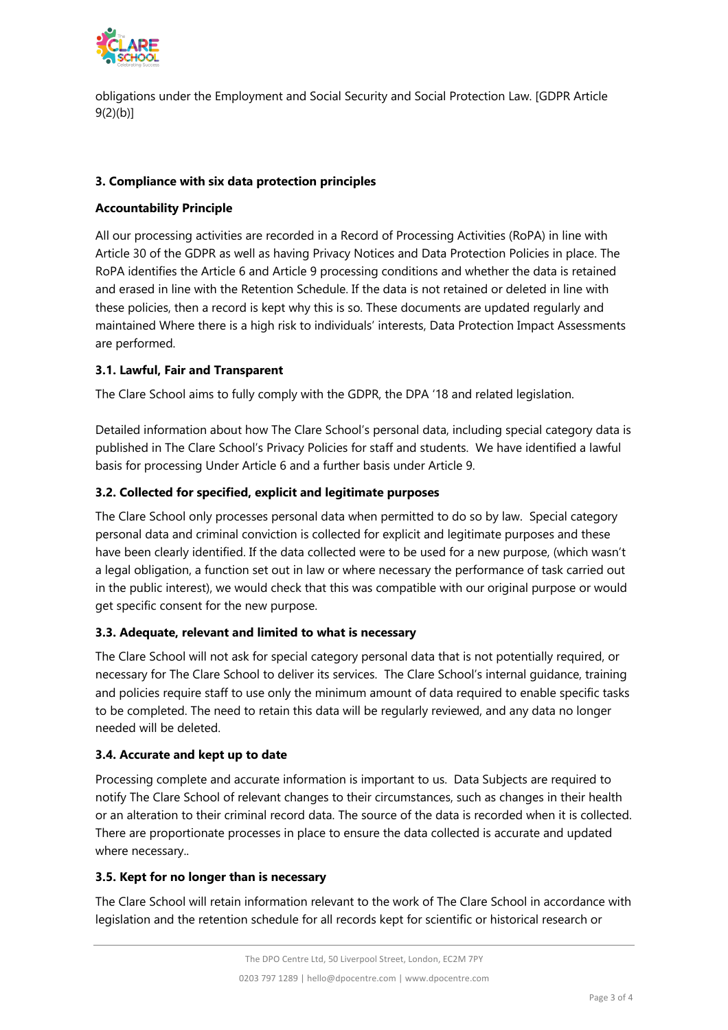

obligations under the Employment and Social Security and Social Protection Law. [GDPR Article 9(2)(b)]

## **3. Compliance with six data protection principles**

## **Accountability Principle**

All our processing activities are recorded in a Record of Processing Activities (RoPA) in line with Article 30 of the GDPR as well as having Privacy Notices and Data Protection Policies in place. The RoPA identifies the Article 6 and Article 9 processing conditions and whether the data is retained and erased in line with the Retention Schedule. If the data is not retained or deleted in line with these policies, then a record is kept why this is so. These documents are updated regularly and maintained Where there is a high risk to individuals' interests, Data Protection Impact Assessments are performed.

## **3.1. Lawful, Fair and Transparent**

The Clare School aims to fully comply with the GDPR, the DPA '18 and related legislation.

Detailed information about how The Clare School's personal data, including special category data is published in The Clare School's Privacy Policies for staff and students. We have identified a lawful basis for processing Under Article 6 and a further basis under Article 9.

# **3.2. Collected for specified, explicit and legitimate purposes**

The Clare School only processes personal data when permitted to do so by law. Special category personal data and criminal conviction is collected for explicit and legitimate purposes and these have been clearly identified. If the data collected were to be used for a new purpose, (which wasn't a legal obligation, a function set out in law or where necessary the performance of task carried out in the public interest), we would check that this was compatible with our original purpose or would get specific consent for the new purpose.

## **3.3. Adequate, relevant and limited to what is necessary**

The Clare School will not ask for special category personal data that is not potentially required, or necessary for The Clare School to deliver its services. The Clare School's internal guidance, training and policies require staff to use only the minimum amount of data required to enable specific tasks to be completed. The need to retain this data will be regularly reviewed, and any data no longer needed will be deleted.

## **3.4. Accurate and kept up to date**

Processing complete and accurate information is important to us. Data Subjects are required to notify The Clare School of relevant changes to their circumstances, such as changes in their health or an alteration to their criminal record data. The source of the data is recorded when it is collected. There are proportionate processes in place to ensure the data collected is accurate and updated where necessary..

## **3.5. Kept for no longer than is necessary**

The Clare School will retain information relevant to the work of The Clare School in accordance with legislation and the retention schedule for all records kept for scientific or historical research or